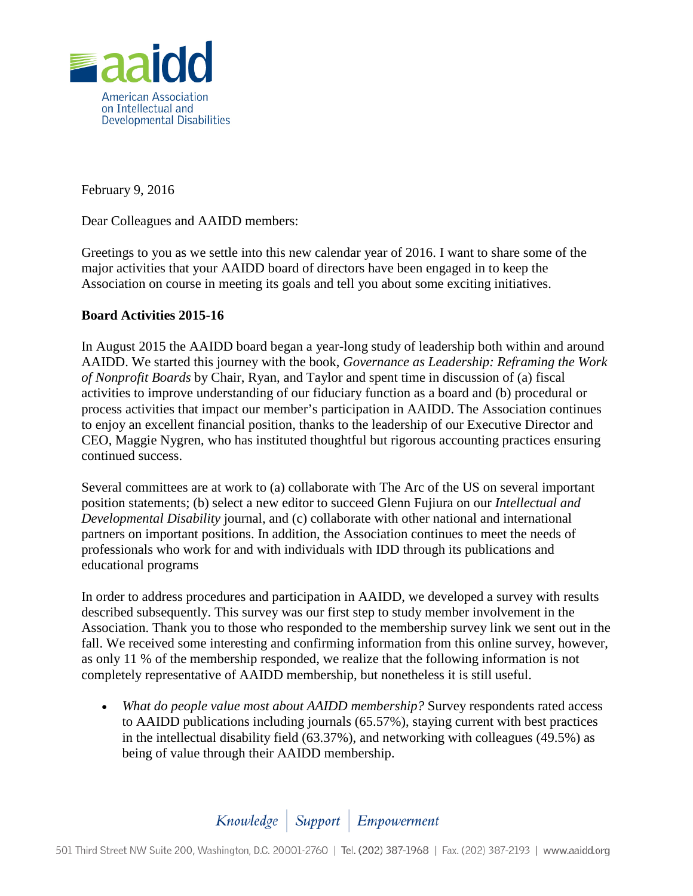

February 9, 2016

Dear Colleagues and AAIDD members:

Greetings to you as we settle into this new calendar year of 2016. I want to share some of the major activities that your AAIDD board of directors have been engaged in to keep the Association on course in meeting its goals and tell you about some exciting initiatives.

## **Board Activities 2015-16**

In August 2015 the AAIDD board began a year-long study of leadership both within and around AAIDD. We started this journey with the book, *Governance as Leadership: Reframing the Work of Nonprofit Boards* by Chair, Ryan, and Taylor and spent time in discussion of (a) fiscal activities to improve understanding of our fiduciary function as a board and (b) procedural or process activities that impact our member's participation in AAIDD. The Association continues to enjoy an excellent financial position, thanks to the leadership of our Executive Director and CEO, Maggie Nygren, who has instituted thoughtful but rigorous accounting practices ensuring continued success.

Several committees are at work to (a) collaborate with The Arc of the US on several important position statements; (b) select a new editor to succeed Glenn Fujiura on our *Intellectual and Developmental Disability* journal, and (c) collaborate with other national and international partners on important positions. In addition, the Association continues to meet the needs of professionals who work for and with individuals with IDD through its publications and educational programs

In order to address procedures and participation in AAIDD, we developed a survey with results described subsequently. This survey was our first step to study member involvement in the Association. Thank you to those who responded to the membership survey link we sent out in the fall. We received some interesting and confirming information from this online survey, however, as only 11 % of the membership responded, we realize that the following information is not completely representative of AAIDD membership, but nonetheless it is still useful.

• *What do people value most about AAIDD membership?* Survey respondents rated access to AAIDD publications including journals (65.57%), staying current with best practices in the intellectual disability field (63.37%), and networking with colleagues (49.5%) as being of value through their AAIDD membership.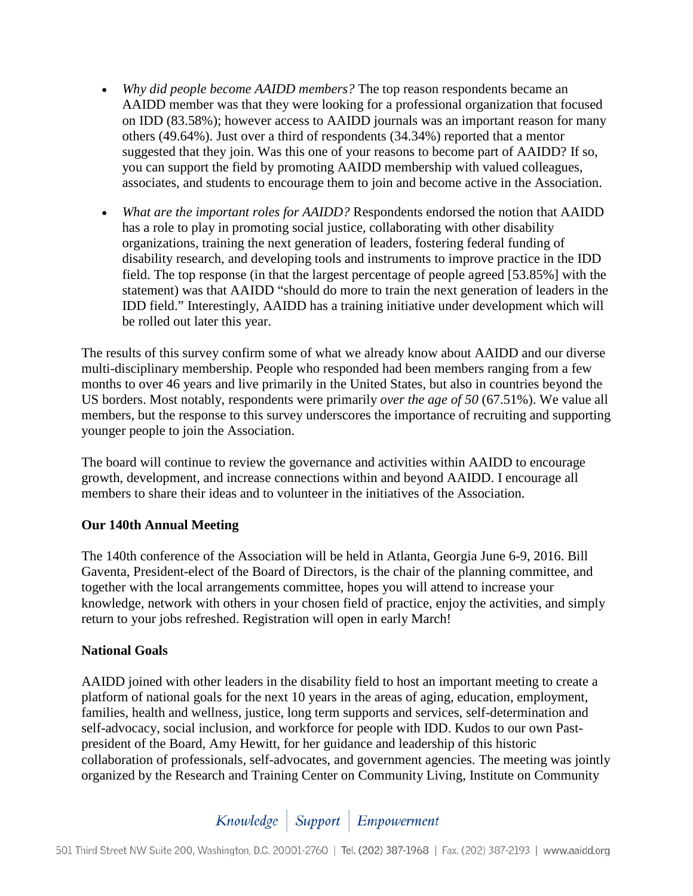- *Why did people become AAIDD members?* The top reason respondents became an AAIDD member was that they were looking for a professional organization that focused on IDD (83.58%); however access to AAIDD journals was an important reason for many others (49.64%). Just over a third of respondents (34.34%) reported that a mentor suggested that they join. Was this one of your reasons to become part of AAIDD? If so, you can support the field by promoting AAIDD membership with valued colleagues, associates, and students to encourage them to join and become active in the Association.
- *What are the important roles for AAIDD?* Respondents endorsed the notion that AAIDD has a role to play in promoting social justice, collaborating with other disability organizations, training the next generation of leaders, fostering federal funding of disability research, and developing tools and instruments to improve practice in the IDD field. The top response (in that the largest percentage of people agreed [53.85%] with the statement) was that AAIDD "should do more to train the next generation of leaders in the IDD field." Interestingly, AAIDD has a training initiative under development which will be rolled out later this year.

The results of this survey confirm some of what we already know about AAIDD and our diverse multi-disciplinary membership. People who responded had been members ranging from a few months to over 46 years and live primarily in the United States, but also in countries beyond the US borders. Most notably, respondents were primarily *over the age of 50* (67.51%). We value all members, but the response to this survey underscores the importance of recruiting and supporting younger people to join the Association.

The board will continue to review the governance and activities within AAIDD to encourage growth, development, and increase connections within and beyond AAIDD. I encourage all members to share their ideas and to volunteer in the initiatives of the Association.

## **Our 140th Annual Meeting**

The 140th conference of the Association will be held in Atlanta, Georgia June 6-9, 2016. Bill Gaventa, President-elect of the Board of Directors, is the chair of the planning committee, and together with the local arrangements committee, hopes you will attend to increase your knowledge, network with others in your chosen field of practice, enjoy the activities, and simply return to your jobs refreshed. Registration will open in early March!

## **National Goals**

AAIDD joined with other leaders in the disability field to host an important meeting to create a platform of national goals for the next 10 years in the areas of aging, education, employment, families, health and wellness, justice, long term supports and services, self-determination and self-advocacy, social inclusion, and workforce for people with IDD. Kudos to our own Pastpresident of the Board, Amy Hewitt, for her guidance and leadership of this historic collaboration of professionals, self-advocates, and government agencies. The meeting was jointly organized by the Research and Training Center on Community Living, Institute on Community